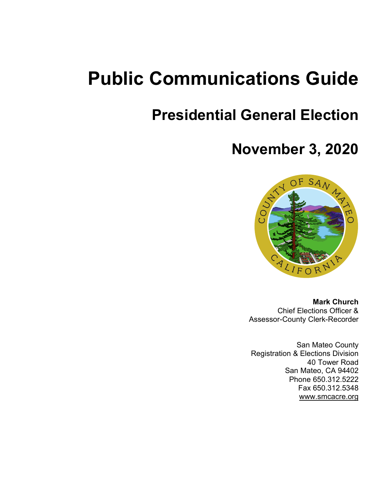# **Public Communications Guide**

# **Presidential General Election**

# **November 3, 2020**



**Mark Church** Chief Elections Officer & Assessor-County Clerk-Recorder

San Mateo County Registration & Elections Division 40 Tower Road San Mateo, CA 94402 Phone 650.312.5222 Fax 650.312.5348 www.smcacre.org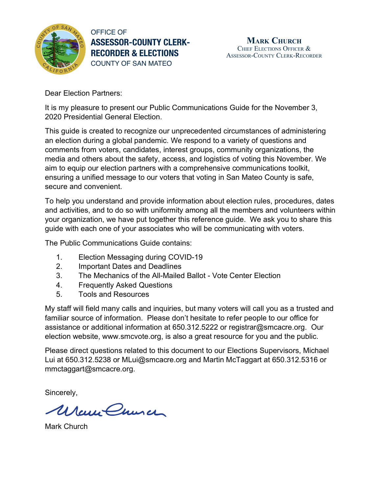

OFFICE OF **ASSESSOR-COUNTY CLERK-RECORDER & ELECTIONS** COUNTY OF SAN MATEO

Dear Election Partners:

It is my pleasure to present our Public Communications Guide for the November 3, 2020 Presidential General Election.

This guide is created to recognize our unprecedented circumstances of administering an election during a global pandemic. We respond to a variety of questions and comments from voters, candidates, interest groups, community organizations, the media and others about the safety, access, and logistics of voting this November. We aim to equip our election partners with a comprehensive communications toolkit, ensuring a unified message to our voters that voting in San Mateo County is safe, secure and convenient.

To help you understand and provide information about election rules, procedures, dates and activities, and to do so with uniformity among all the members and volunteers within your organization, we have put together this reference guide. We ask you to share this guide with each one of your associates who will be communicating with voters.

The Public Communications Guide contains:

- 1. Election Messaging during COVID-19
- 2. Important Dates and Deadlines
- 3. The Mechanics of the All-Mailed Ballot Vote Center Election
- 4. Frequently Asked Questions
- 5. Tools and Resources

My staff will field many calls and inquiries, but many voters will call you as a trusted and familiar source of information. Please don't hesitate to refer people to our office for assistance or additional information at 650.312.5222 or registrar@smcacre.org. Our election website, www.smcvote.org, is also a great resource for you and the public.

Please direct questions related to this document to our Elections Supervisors, Michael Lui at 650.312.5238 or MLui@smcacre.org and Martin McTaggart at 650.312.5316 or mmctaggart@smcacre.org.

Sincerely,

Warre Church

Mark Church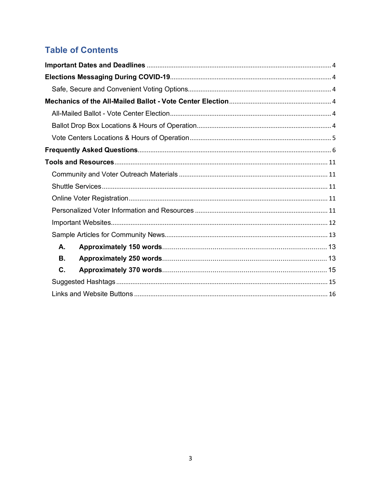# **Table of Contents**

| А. |  |
|----|--|
| В. |  |
| C. |  |
|    |  |
|    |  |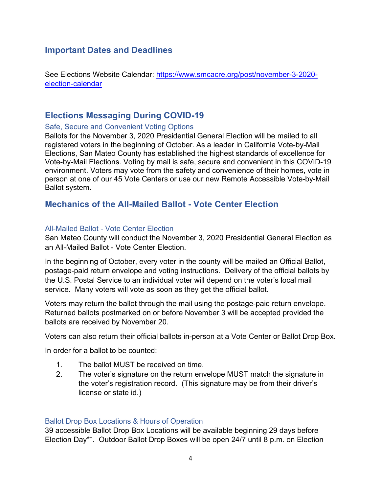## **Important Dates and Deadlines**

See Elections Website Calendar: https://www.smcacre.org/post/november-3-2020 election-calendar

## **Elections Messaging During COVID-19**

#### Safe, Secure and Convenient Voting Options

Ballots for the November 3, 2020 Presidential General Election will be mailed to all registered voters in the beginning of October. As a leader in California Vote-by-Mail Elections, San Mateo County has established the highest standards of excellence for Vote-by-Mail Elections. Voting by mail is safe, secure and convenient in this COVID-19 environment. Voters may vote from the safety and convenience of their homes, vote in person at one of our 45 Vote Centers or use our new Remote Accessible Vote-by-Mail Ballot system.

#### **Mechanics of the All-Mailed Ballot - Vote Center Election**

#### All-Mailed Ballot - Vote Center Election

San Mateo County will conduct the November 3, 2020 Presidential General Election as an All-Mailed Ballot - Vote Center Election.

In the beginning of October, every voter in the county will be mailed an Official Ballot, postage-paid return envelope and voting instructions. Delivery of the official ballots by the U.S. Postal Service to an individual voter will depend on the voter's local mail service. Many voters will vote as soon as they get the official ballot.

Voters may return the ballot through the mail using the postage-paid return envelope. Returned ballots postmarked on or before November 3 will be accepted provided the ballots are received by November 20.

Voters can also return their official ballots in-person at a Vote Center or Ballot Drop Box.

In order for a ballot to be counted:

- 1. The ballot MUST be received on time.
- 2. The voter's signature on the return envelope MUST match the signature in the voter's registration record. (This signature may be from their driver's license or state id.)

#### Ballot Drop Box Locations & Hours of Operation

39 accessible Ballot Drop Box Locations will be available beginning 29 days before Election Day\*+. Outdoor Ballot Drop Boxes will be open 24/7 until 8 p.m. on Election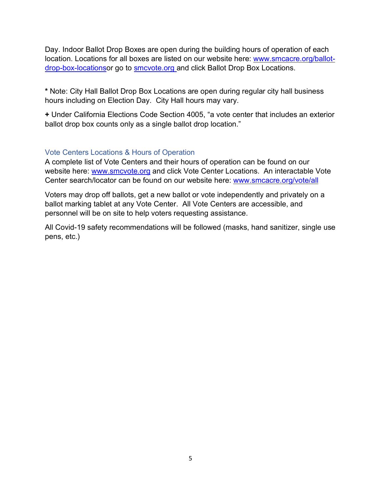Day. Indoor Ballot Drop Boxes are open during the building hours of operation of each location. Locations for all boxes are listed on our website here: www.smcacre.org/ballotdrop-box-locationsor go to smcvote.org and click Ballot Drop Box Locations.

**\*** Note: City Hall Ballot Drop Box Locations are open during regular city hall business hours including on Election Day. City Hall hours may vary.

**+** Under California Elections Code Section 4005, "a vote center that includes an exterior ballot drop box counts only as a single ballot drop location."

#### Vote Centers Locations & Hours of Operation

A complete list of Vote Centers and their hours of operation can be found on our website here: www.smcvote.org and click Vote Center Locations. An interactable Vote Center search/locator can be found on our website here: www.smcacre.org/vote/all

Voters may drop off ballots, get a new ballot or vote independently and privately on a ballot marking tablet at any Vote Center. All Vote Centers are accessible, and personnel will be on site to help voters requesting assistance.

All Covid-19 safety recommendations will be followed (masks, hand sanitizer, single use pens, etc.)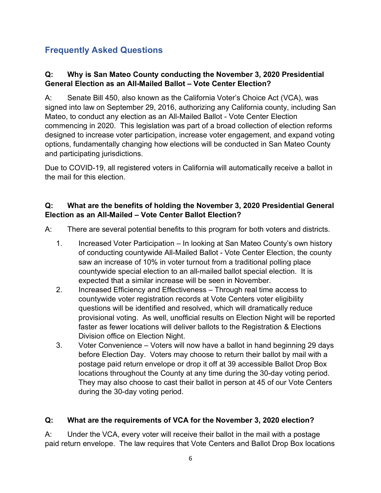# **Frequently Asked Questions**

## **Q: Why is San Mateo County conducting the November 3, 2020 Presidential General Election as an All-Mailed Ballot – Vote Center Election?**

A: Senate Bill 450, also known as the California Voter's Choice Act (VCA), was signed into law on September 29, 2016, authorizing any California county, including San Mateo, to conduct any election as an All-Mailed Ballot - Vote Center Election commencing in 2020. This legislation was part of a broad collection of election reforms designed to increase voter participation, increase voter engagement, and expand voting options, fundamentally changing how elections will be conducted in San Mateo County and participating jurisdictions.

Due to COVID-19, all registered voters in California will automatically receive a ballot in the mail for this election.

## **Q: What are the benefits of holding the November 3, 2020 Presidential General Election as an All-Mailed – Vote Center Ballot Election?**

A: There are several potential benefits to this program for both voters and districts.

- 1. Increased Voter Participation In looking at San Mateo County's own history of conducting countywide All-Mailed Ballot - Vote Center Election, the county saw an increase of 10% in voter turnout from a traditional polling place countywide special election to an all-mailed ballot special election. It is expected that a similar increase will be seen in November.
- 2. Increased Efficiency and Effectiveness Through real time access to countywide voter registration records at Vote Centers voter eligibility questions will be identified and resolved, which will dramatically reduce provisional voting. As well, unofficial results on Election Night will be reported faster as fewer locations will deliver ballots to the Registration & Elections Division office on Election Night.
- 3. Voter Convenience Voters will now have a ballot in hand beginning 29 days before Election Day. Voters may choose to return their ballot by mail with a postage paid return envelope or drop it off at 39 accessible Ballot Drop Box locations throughout the County at any time during the 30-day voting period. They may also choose to cast their ballot in person at 45 of our Vote Centers during the 30-day voting period.

## **Q: What are the requirements of VCA for the November 3, 2020 election?**

A: Under the VCA, every voter will receive their ballot in the mail with a postage paid return envelope. The law requires that Vote Centers and Ballot Drop Box locations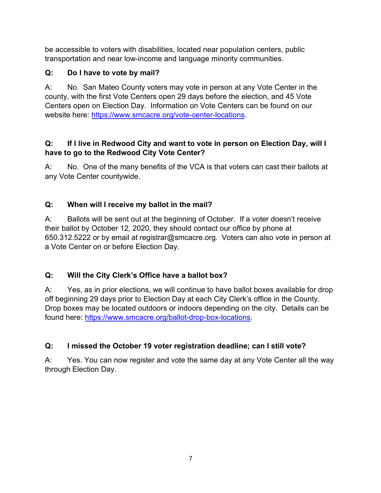be accessible to voters with disabilities, located near population centers, public transportation and near low-income and language minority communities.

## **Q: Do I have to vote by mail?**

A: No. San Mateo County voters may vote in person at any Vote Center in the county, with the first Vote Centers open 29 days before the election, and 45 Vote Centers open on Election Day. Information on Vote Centers can be found on our website here: https://www.smcacre.org/vote-center-locations.

#### **Q: If I live in Redwood City and want to vote in person on Election Day, will I have to go to the Redwood City Vote Center?**

A: No. One of the many benefits of the VCA is that voters can cast their ballots at any Vote Center countywide.

## **Q: When will I receive my ballot in the mail?**

A: Ballots will be sent out at the beginning of October. If a voter doesn't receive their ballot by October 12, 2020, they should contact our office by phone at 650.312.5222 or by email at registrar@smcacre.org. Voters can also vote in person at a Vote Center on or before Election Day.

## **Q: Will the City Clerk's Office have a ballot box?**

A: Yes, as in prior elections, we will continue to have ballot boxes available for drop off beginning 29 days prior to Election Day at each City Clerk's office in the County. Drop boxes may be located outdoors or indoors depending on the city. Details can be found here: https://www.smcacre.org/ballot-drop-box-locations.

## **Q: I missed the October 19 voter registration deadline; can I still vote?**

A: Yes. You can now register and vote the same day at any Vote Center all the way through Election Day.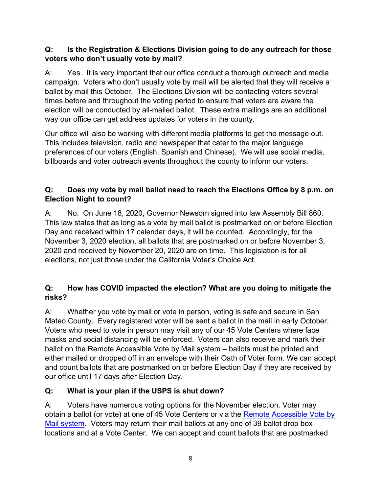#### **Q: Is the Registration & Elections Division going to do any outreach for those voters who don't usually vote by mail?**

A: Yes. It is very important that our office conduct a thorough outreach and media campaign. Voters who don't usually vote by mail will be alerted that they will receive a ballot by mail this October. The Elections Division will be contacting voters several times before and throughout the voting period to ensure that voters are aware the election will be conducted by all-mailed ballot. These extra mailings are an additional way our office can get address updates for voters in the county.

Our office will also be working with different media platforms to get the message out. This includes television, radio and newspaper that cater to the major language preferences of our voters (English, Spanish and Chinese). We will use social media, billboards and voter outreach events throughout the county to inform our voters.

## **Q: Does my vote by mail ballot need to reach the Elections Office by 8 p.m. on Election Night to count?**

A: No. On June 18, 2020, Governor Newsom signed into law Assembly Bill 860. This law states that as long as a vote by mail ballot is postmarked on or before Election Day and received within 17 calendar days, it will be counted. Accordingly, for the November 3, 2020 election, all ballots that are postmarked on or before November 3, 2020 and received by November 20, 2020 are on time. This legislation is for all elections, not just those under the California Voter's Choice Act.

## **Q: How has COVID impacted the election? What are you doing to mitigate the risks?**

A: Whether you vote by mail or vote in person, voting is safe and secure in San Mateo County. Every registered voter will be sent a ballot in the mail in early October. Voters who need to vote in person may visit any of our 45 Vote Centers where face masks and social distancing will be enforced. Voters can also receive and mark their ballot on the Remote Accessible Vote by Mail system – ballots must be printed and either mailed or dropped off in an envelope with their Oath of Voter form. We can accept and count ballots that are postmarked on or before Election Day if they are received by our office until 17 days after Election Day.

## **Q: What is your plan if the USPS is shut down?**

A: Voters have numerous voting options for the November election. Voter may obtain a ballot (or vote) at one of 45 Vote Centers or via the Remote Accessible Vote by Mail system. Voters may return their mail ballots at any one of 39 ballot drop box locations and at a Vote Center. We can accept and count ballots that are postmarked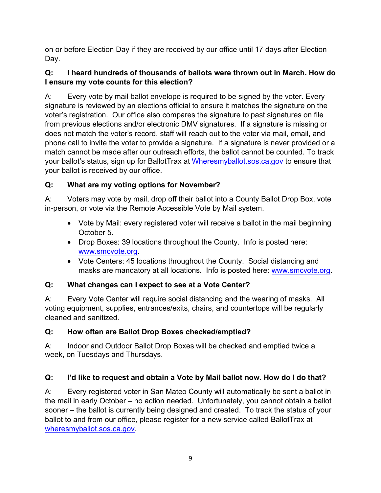on or before Election Day if they are received by our office until 17 days after Election Day.

## **Q: I heard hundreds of thousands of ballots were thrown out in March. How do I ensure my vote counts for this election?**

A: Every vote by mail ballot envelope is required to be signed by the voter. Every signature is reviewed by an elections official to ensure it matches the signature on the voter's registration. Our office also compares the signature to past signatures on file from previous elections and/or electronic DMV signatures. If a signature is missing or does not match the voter's record, staff will reach out to the voter via mail, email, and phone call to invite the voter to provide a signature. If a signature is never provided or a match cannot be made after our outreach efforts, the ballot cannot be counted. To track your ballot's status, sign up for BallotTrax at Wheresmyballot.sos.ca.gov to ensure that your ballot is received by our office.

## **Q: What are my voting options for November?**

A: Voters may vote by mail, drop off their ballot into a County Ballot Drop Box, vote in-person, or vote via the Remote Accessible Vote by Mail system.

- Vote by Mail: every registered voter will receive a ballot in the mail beginning October 5.
- Drop Boxes: 39 locations throughout the County. Info is posted here: www.smcvote.org.
- Vote Centers: 45 locations throughout the County. Social distancing and masks are mandatory at all locations. Info is posted here: www.smcvote.org.

## **Q: What changes can I expect to see at a Vote Center?**

A: Every Vote Center will require social distancing and the wearing of masks. All voting equipment, supplies, entrances/exits, chairs, and countertops will be regularly cleaned and sanitized.

## **Q: How often are Ballot Drop Boxes checked/emptied?**

A: Indoor and Outdoor Ballot Drop Boxes will be checked and emptied twice a week, on Tuesdays and Thursdays.

## **Q: I'd like to request and obtain a Vote by Mail ballot now. How do I do that?**

A: Every registered voter in San Mateo County will automatically be sent a ballot in the mail in early October – no action needed. Unfortunately, you cannot obtain a ballot sooner – the ballot is currently being designed and created. To track the status of your ballot to and from our office, please register for a new service called BallotTrax at wheresmyballot.sos.ca.gov.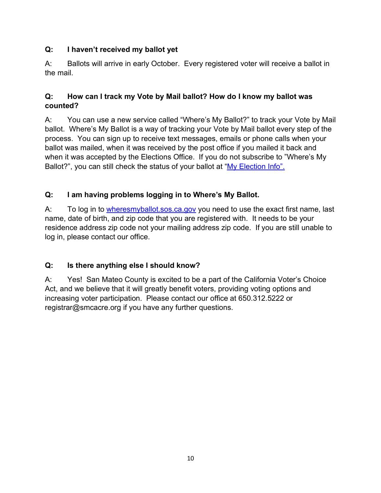## **Q: I haven't received my ballot yet**

A: Ballots will arrive in early October. Every registered voter will receive a ballot in the mail.

## **Q: How can I track my Vote by Mail ballot? How do I know my ballot was counted?**

A: You can use a new service called "Where's My Ballot?" to track your Vote by Mail ballot. Where's My Ballot is a way of tracking your Vote by Mail ballot every step of the process. You can sign up to receive text messages, emails or phone calls when your ballot was mailed, when it was received by the post office if you mailed it back and when it was accepted by the Elections Office. If you do not subscribe to "Where's My Ballot?", you can still check the status of your ballot at "My Election Info".

## **Q: I am having problems logging in to Where's My Ballot.**

A: To log in to wheresmyballot.sos.ca.gov you need to use the exact first name, last name, date of birth, and zip code that you are registered with. It needs to be your residence address zip code not your mailing address zip code. If you are still unable to log in, please contact our office.

## **Q: Is there anything else I should know?**

A: Yes! San Mateo County is excited to be a part of the California Voter's Choice Act, and we believe that it will greatly benefit voters, providing voting options and increasing voter participation. Please contact our office at 650.312.5222 or registrar@smcacre.org if you have any further questions.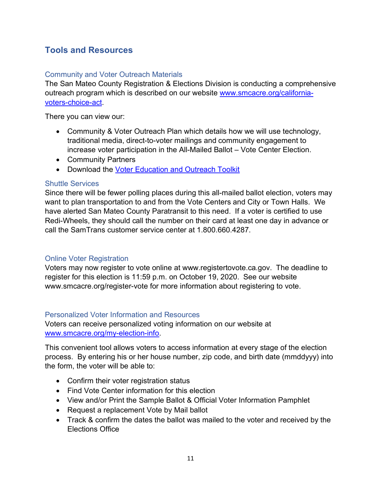# **Tools and Resources**

#### Community and Voter Outreach Materials

The San Mateo County Registration & Elections Division is conducting a comprehensive outreach program which is described on our website www.smcacre.org/californiavoters-choice-act.

There you can view our:

- Community & Voter Outreach Plan which details how we will use technology, traditional media, direct-to-voter mailings and community engagement to increase voter participation in the All-Mailed Ballot – Vote Center Election.
- Community Partners
- Download the Voter Education and Outreach Toolkit

#### Shuttle Services

Since there will be fewer polling places during this all-mailed ballot election, voters may want to plan transportation to and from the Vote Centers and City or Town Halls. We have alerted San Mateo County Paratransit to this need. If a voter is certified to use Redi-Wheels, they should call the number on their card at least one day in advance or call the SamTrans customer service center at 1.800.660.4287.

#### Online Voter Registration

Voters may now register to vote online at www.registertovote.ca.gov. The deadline to register for this election is 11:59 p.m. on October 19, 2020. See our website www.smcacre.org/register-vote for more information about registering to vote.

#### Personalized Voter Information and Resources

Voters can receive personalized voting information on our website at www.smcacre.org/my-election-info.

This convenient tool allows voters to access information at every stage of the election process. By entering his or her house number, zip code, and birth date (mmddyyy) into the form, the voter will be able to:

- Confirm their voter registration status
- Find Vote Center information for this election
- View and/or Print the Sample Ballot & Official Voter Information Pamphlet
- Request a replacement Vote by Mail ballot
- Track & confirm the dates the ballot was mailed to the voter and received by the Elections Office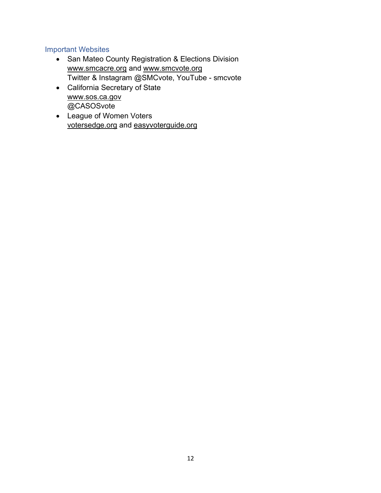#### Important Websites

- San Mateo County Registration & Elections Division www.smcacre.org and www.smcvote.org Twitter & Instagram @SMCvote, YouTube - smcvote
- California Secretary of State www.sos.ca.gov @CASOSvote
- League of Women Voters votersedge.org and easyvoterguide.org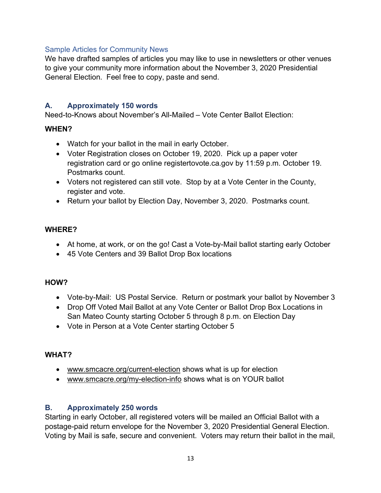#### Sample Articles for Community News

We have drafted samples of articles you may like to use in newsletters or other venues to give your community more information about the November 3, 2020 Presidential General Election. Feel free to copy, paste and send.

#### **A. Approximately 150 words**

Need-to-Knows about November's All-Mailed – Vote Center Ballot Election:

#### **WHEN?**

- Watch for your ballot in the mail in early October.
- Voter Registration closes on October 19, 2020. Pick up a paper voter registration card or go online registertovote.ca.gov by 11:59 p.m. October 19. Postmarks count.
- Voters not registered can still vote. Stop by at a Vote Center in the County, register and vote.
- Return your ballot by Election Day, November 3, 2020. Postmarks count.

#### **WHERE?**

- At home, at work, or on the go! Cast a Vote-by-Mail ballot starting early October
- 45 Vote Centers and 39 Ballot Drop Box locations

#### **HOW?**

- Vote-by-Mail: US Postal Service. Return or postmark your ballot by November 3
- Drop Off Voted Mail Ballot at any Vote Center or Ballot Drop Box Locations in San Mateo County starting October 5 through 8 p.m. on Election Day
- Vote in Person at a Vote Center starting October 5

#### **WHAT?**

- www.smcacre.org/current-election shows what is up for election
- www.smcacre.org/my-election-info shows what is on YOUR ballot

## **B. Approximately 250 words**

Starting in early October, all registered voters will be mailed an Official Ballot with a postage-paid return envelope for the November 3, 2020 Presidential General Election. Voting by Mail is safe, secure and convenient. Voters may return their ballot in the mail,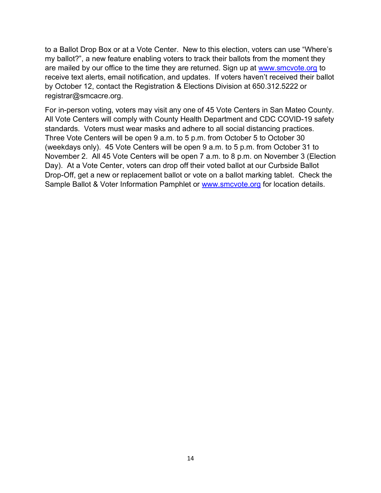to a Ballot Drop Box or at a Vote Center. New to this election, voters can use "Where's my ballot?", a new feature enabling voters to track their ballots from the moment they are mailed by our office to the time they are returned. Sign up at www.smcvote.org to receive text alerts, email notification, and updates. If voters haven't received their ballot by October 12, contact the Registration & Elections Division at 650.312.5222 or registrar@smcacre.org.

For in-person voting, voters may visit any one of 45 Vote Centers in San Mateo County. All Vote Centers will comply with County Health Department and CDC COVID-19 safety standards. Voters must wear masks and adhere to all social distancing practices. Three Vote Centers will be open 9 a.m. to 5 p.m. from October 5 to October 30 (weekdays only). 45 Vote Centers will be open 9 a.m. to 5 p.m. from October 31 to November 2. All 45 Vote Centers will be open 7 a.m. to 8 p.m. on November 3 (Election Day). At a Vote Center, voters can drop off their voted ballot at our Curbside Ballot Drop-Off, get a new or replacement ballot or vote on a ballot marking tablet. Check the Sample Ballot & Voter Information Pamphlet or www.smcvote.org for location details.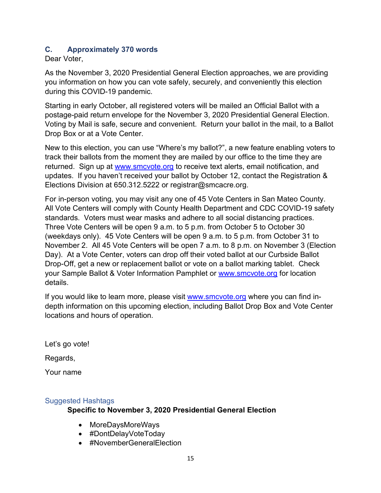#### **C. Approximately 370 words**

Dear Voter,

As the November 3, 2020 Presidential General Election approaches, we are providing you information on how you can vote safely, securely, and conveniently this election during this COVID-19 pandemic.

Starting in early October, all registered voters will be mailed an Official Ballot with a postage-paid return envelope for the November 3, 2020 Presidential General Election. Voting by Mail is safe, secure and convenient. Return your ballot in the mail, to a Ballot Drop Box or at a Vote Center.

New to this election, you can use "Where's my ballot?", a new feature enabling voters to track their ballots from the moment they are mailed by our office to the time they are returned. Sign up at www.smcvote.org to receive text alerts, email notification, and updates. If you haven't received your ballot by October 12, contact the Registration & Elections Division at 650.312.5222 or registrar@smcacre.org.

For in-person voting, you may visit any one of 45 Vote Centers in San Mateo County. All Vote Centers will comply with County Health Department and CDC COVID-19 safety standards. Voters must wear masks and adhere to all social distancing practices. Three Vote Centers will be open 9 a.m. to 5 p.m. from October 5 to October 30 (weekdays only). 45 Vote Centers will be open 9 a.m. to 5 p.m. from October 31 to November 2. All 45 Vote Centers will be open 7 a.m. to 8 p.m. on November 3 (Election Day). At a Vote Center, voters can drop off their voted ballot at our Curbside Ballot Drop-Off, get a new or replacement ballot or vote on a ballot marking tablet. Check your Sample Ballot & Voter Information Pamphlet or www.smcvote.org for location details.

If you would like to learn more, please visit www.smcvote.org where you can find indepth information on this upcoming election, including Ballot Drop Box and Vote Center locations and hours of operation.

Let's go vote!

Regards,

Your name

#### Suggested Hashtags

#### **Specific to November 3, 2020 Presidential General Election**

- MoreDaysMoreWays
- #DontDelayVoteToday
- #NovemberGeneralElection